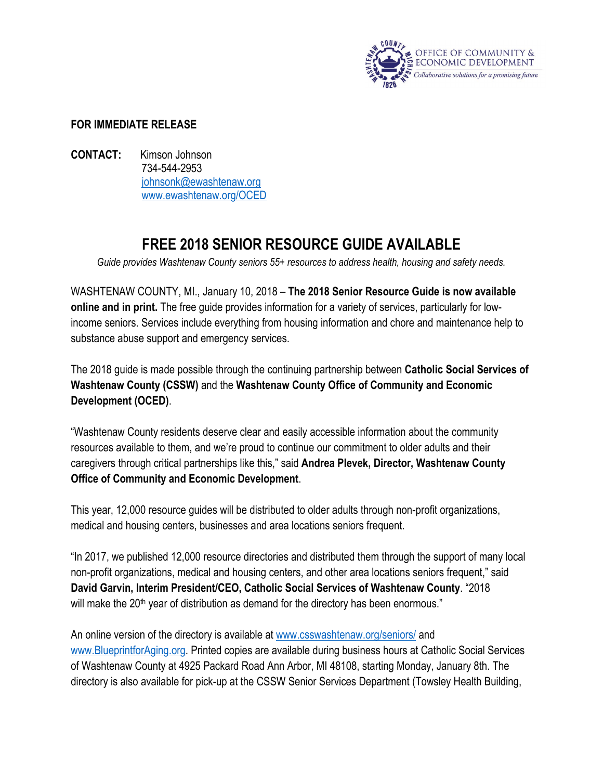

## **FOR IMMEDIATE RELEASE**

**CONTACT:** Kimson Johnson 734-544-2953 [johnsonk@ewashtenaw.org](mailto:johnsonk@ewashtenaw.org) [www.ewashtenaw.org/OCED](http://www.ewashtenaw.org/government/departments/community-and-economic-development/human-services/continuum-of-care)

## **FREE 2018 SENIOR RESOURCE GUIDE AVAILABLE**

*Guide provides Washtenaw County seniors 55+ resources to address health, housing and safety needs.*

WASHTENAW COUNTY, MI., January 10, 2018 – **The 2018 Senior Resource Guide is now available online and in print.** The free guide provides information for a variety of services, particularly for lowincome seniors. Services include everything from housing information and chore and maintenance help to substance abuse support and emergency services.

The 2018 guide is made possible through the continuing partnership between **Catholic Social Services of Washtenaw County (CSSW)** and the **Washtenaw County Office of Community and Economic Development (OCED)**.

"Washtenaw County residents deserve clear and easily accessible information about the community resources available to them, and we're proud to continue our commitment to older adults and their caregivers through critical partnerships like this," said **Andrea Plevek, Director, Washtenaw County Office of Community and Economic Development**.

This year, 12,000 resource guides will be distributed to older adults through non-profit organizations, medical and housing centers, businesses and area locations seniors frequent.

"In 2017, we published 12,000 resource directories and distributed them through the support of many local non-profit organizations, medical and housing centers, and other area locations seniors frequent," said **David Garvin, Interim President/CEO, Catholic Social Services of Washtenaw County**. "2018 will make the  $20<sup>th</sup>$  year of distribution as demand for the directory has been enormous."

An online version of the directory is available at [www.csswashtenaw.org/seniors/](http://csswashtenaw.org/seniors/) and [www.BlueprintforAging.org.](http://blueprintforaging.org/) Printed copies are available during business hours at Catholic Social Services of Washtenaw County at 4925 Packard Road Ann Arbor, MI 48108, starting Monday, January 8th. The directory is also available for pick-up at the CSSW Senior Services Department (Towsley Health Building,